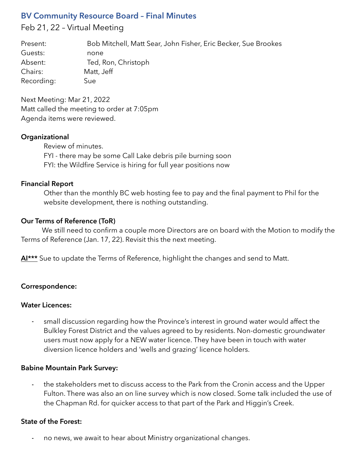# **BV Community Resource Board – Final Minutes**

Feb 21, 22 – Virtual Meeting

Present: Bob Mitchell, Matt Sear, John Fisher, Eric Becker, Sue Brookes Guests: none Absent: Ted, Ron, Christoph Chairs: Matt, Jeff Recording: Sue

Next Meeting: Mar 21, 2022 Matt called the meeting to order at 7:05pm Agenda items were reviewed.

### **Organizational**

Review of minutes. FYI - there may be some Call Lake debris pile burning soon FYI: the Wildfire Service is hiring for full year positions now

#### **Financial Report**

Other than the monthly BC web hosting fee to pay and the final payment to Phil for the website development, there is nothing outstanding.

### **Our Terms of Reference (ToR)**

We still need to confirm a couple more Directors are on board with the Motion to modify the Terms of Reference (Jan. 17, 22). Revisit this the next meeting.

Al<sup>\*\*\*</sup> Sue to update the Terms of Reference, highlight the changes and send to Matt.

### **Correspondence:**

#### **Water Licences:**

small discussion regarding how the Province's interest in ground water would affect the Bulkley Forest District and the values agreed to by residents. Non-domestic groundwater users must now apply for a NEW water licence. They have been in touch with water diversion licence holders and 'wells and grazing' licence holders.

#### **Babine Mountain Park Survey:**

the stakeholders met to discuss access to the Park from the Cronin access and the Upper Fulton. There was also an on line survey which is now closed. Some talk included the use of the Chapman Rd. for quicker access to that part of the Park and Higgin's Creek.

#### **State of the Forest:**

- no news, we await to hear about Ministry organizational changes.